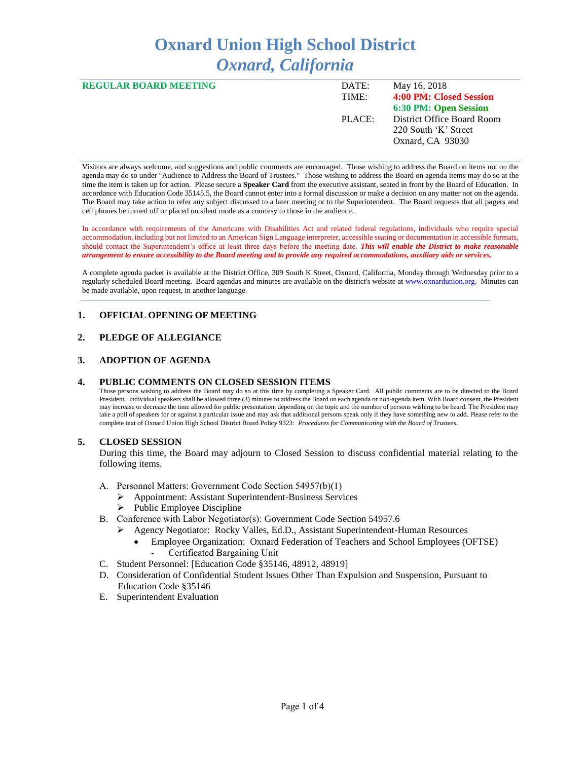# **Oxnard Union High School District** *Oxnard, California*

| <b>REGULAR BOARD MEETING</b> | DATE:  | May 16, 2018               |
|------------------------------|--------|----------------------------|
|                              | TIME:  | 4:00 PM: Closed Session    |
|                              |        | 6:30 PM: Open Session      |
|                              | PLACE: | District Office Board Room |
|                              |        | 220 South 'K' Street       |
|                              |        | Oxnard, CA 93030           |
|                              |        |                            |

Visitors are always welcome, and suggestions and public comments are encouraged. Those wishing to address the Board on items not on the agenda may do so under "Audience to Address the Board of Trustees." Those wishing to address the Board on agenda items may do so at the time the item is taken up for action. Please secure a **Speaker Card** from the executive assistant, seated in front by the Board of Education. In accordance with Education Code 35145.5, the Board cannot enter into a formal discussion or make a decision on any matter not on the agenda. The Board may take action to refer any subject discussed to a later meeting or to the Superintendent. The Board requests that all pagers and cell phones be turned off or placed on silent mode as a courtesy to those in the audience.

In accordance with requirements of the Americans with Disabilities Act and related federal regulations, individuals who require special accommodation, including but not limited to an American Sign Language interpreter, accessible seating or documentation in accessible formats, should contact the Superintendent's office at least three days before the meeting date. *This will enable the District to make reasonable arrangement to ensure accessibility to the Board meeting and to provide any required accommodations, auxiliary aids or services.* 

A complete agenda packet is available at the District Office, 309 South K Street, Oxnard, California, Monday through Wednesday prior to a regularly scheduled Board meeting. Board agendas and minutes are available on the district's website a[t www.ox](http://www.o/)nardunion.org.Minutes can be made available, upon request, in another language.

## **1. OFFICIAL OPENING OF MEETING**

## **2. PLEDGE OF ALLEGIANCE**

#### **3. ADOPTION OF AGENDA**

#### **4. PUBLIC COMMENTS ON CLOSED SESSION ITEMS**

Those persons wishing to address the Board may do so at this time by completing a Speaker Card. All public comments are to be directed to the Board President. Individual speakers shall be allowed three (3) minutes to address the Board on each agenda or non-agenda item. With Board consent, the President may increase or decrease the time allowed for public presentation, depending on the topic and the number of persons wishing to be heard. The President may take a poll of speakers for or against a particular issue and may ask that additional persons speak only if they have something new to add. Please refer to the complete text of Oxnard Union High School District Board Policy 9323: *Procedures for Communicating with the Board of Trustees*.

### **5. CLOSED SESSION**

During this time, the Board may adjourn to Closed Session to discuss confidential material relating to the following items.

- A. Personnel Matters: Government Code Section 54957(b)(1)
	- ➢ Appointment: Assistant Superintendent-Business Services
	- $\triangleright$  Public Employee Discipline
- B. Conference with Labor Negotiator(s): Government Code Section 54957.6
	- ➢ Agency Negotiator: Rocky Valles, Ed.D., Assistant Superintendent-Human Resources
		- Employee Organization: Oxnard Federation of Teachers and School Employees (OFTSE) Certificated Bargaining Unit
- C. Student Personnel: [Education Code §35146, 48912, 48919]
- D. Consideration of Confidential Student Issues Other Than Expulsion and Suspension, Pursuant to Education Code §35146
- E. Superintendent Evaluation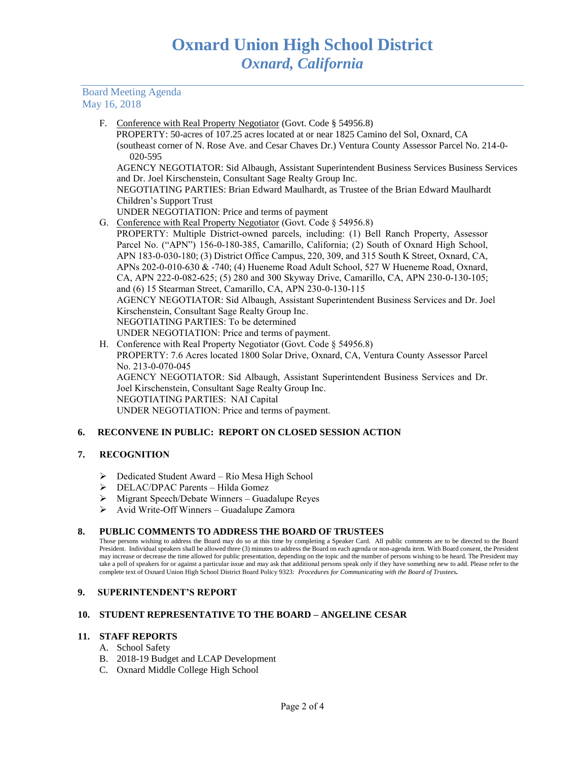### Board Meeting Agenda May 16, 2018

F. Conference with Real Property Negotiator (Govt. Code § 54956.8)

 PROPERTY: 50-acres of 107.25 acres located at or near 1825 Camino del Sol, Oxnard, CA (southeast corner of N. Rose Ave. and Cesar Chaves Dr.) Ventura County Assessor Parcel No. 214-0- 020-595

AGENCY NEGOTIATOR: Sid Albaugh, Assistant Superintendent Business Services Business Services and Dr. Joel Kirschenstein, Consultant Sage Realty Group Inc.

NEGOTIATING PARTIES: Brian Edward Maulhardt, as Trustee of the Brian Edward Maulhardt Children's Support Trust

- UNDER NEGOTIATION: Price and terms of payment
- G. Conference with Real Property Negotiator (Govt. Code § 54956.8)

PROPERTY: Multiple District-owned parcels, including: (1) Bell Ranch Property, Assessor Parcel No. ("APN") 156-0-180-385, Camarillo, California; (2) South of Oxnard High School, APN 183-0-030-180; (3) District Office Campus, 220, 309, and 315 South K Street, Oxnard, CA, APNs 202-0-010-630 & -740; (4) Hueneme Road Adult School, 527 W Hueneme Road, Oxnard, CA, APN 222-0-082-625; (5) 280 and 300 Skyway Drive, Camarillo, CA, APN 230-0-130-105; and (6) 15 Stearman Street, Camarillo, CA, APN 230-0-130-115 AGENCY NEGOTIATOR: Sid Albaugh, Assistant Superintendent Business Services and Dr. Joel Kirschenstein, Consultant Sage Realty Group Inc. NEGOTIATING PARTIES: To be determined UNDER NEGOTIATION: Price and terms of payment.

H. Conference with Real Property Negotiator (Govt. Code § 54956.8) PROPERTY: 7.6 Acres located 1800 Solar Drive, Oxnard, CA, Ventura County Assessor Parcel No. 213-0-070-045 AGENCY NEGOTIATOR: Sid Albaugh, Assistant Superintendent Business Services and Dr. Joel Kirschenstein, Consultant Sage Realty Group Inc. NEGOTIATING PARTIES: NAI Capital UNDER NEGOTIATION: Price and terms of payment.

## **6. RECONVENE IN PUBLIC: REPORT ON CLOSED SESSION ACTION**

### **7. RECOGNITION**

- ➢ Dedicated Student Award Rio Mesa High School
- ➢ DELAC/DPAC Parents Hilda Gomez
- ➢ Migrant Speech/Debate Winners Guadalupe Reyes
- $\triangleright$  Avid Write-Off Winners Guadalupe Zamora

### **8. PUBLIC COMMENTS TO ADDRESS THE BOARD OF TRUSTEES**

Those persons wishing to address the Board may do so at this time by completing a Speaker Card. All public comments are to be directed to the Board President. Individual speakers shall be allowed three (3) minutes to address the Board on each agenda or non-agenda item. With Board consent, the President may increase or decrease the time allowed for public presentation, depending on the topic and the number of persons wishing to be heard. The President may take a poll of speakers for or against a particular issue and may ask that additional persons speak only if they have something new to add. Please refer to the complete text of Oxnard Union High School District Board Policy 9323: *Procedures for Communicating with the Board of Trustees.*

### **9. SUPERINTENDENT'S REPORT**

### **10. STUDENT REPRESENTATIVE TO THE BOARD – ANGELINE CESAR**

## **11. STAFF REPORTS**

- A. School Safety
- B. 2018-19 Budget and LCAP Development
- C. Oxnard Middle College High School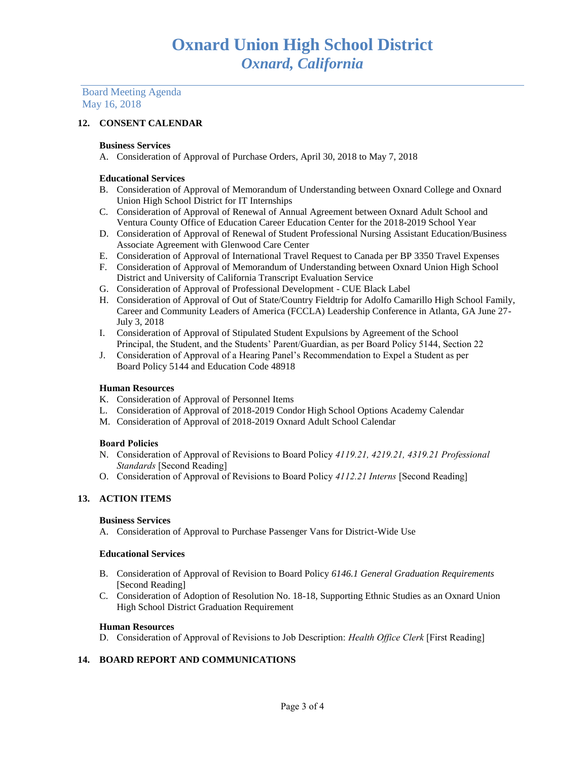Board Meeting Agenda May 16, 2018

## **12. CONSENT CALENDAR**

#### **Business Services**

A. Consideration of Approval of Purchase Orders, April 30, 2018 to May 7, 2018

#### **Educational Services**

- B. Consideration of Approval of Memorandum of Understanding between Oxnard College and Oxnard Union High School District for IT Internships
- C. Consideration of Approval of Renewal of Annual Agreement between Oxnard Adult School and Ventura County Office of Education Career Education Center for the 2018-2019 School Year
- D. Consideration of Approval of Renewal of Student Professional Nursing Assistant Education/Business Associate Agreement with Glenwood Care Center
- E. Consideration of Approval of International Travel Request to Canada per BP 3350 Travel Expenses
- F. Consideration of Approval of Memorandum of Understanding between Oxnard Union High School District and University of California Transcript Evaluation Service
- G. Consideration of Approval of Professional Development CUE Black Label
- H. Consideration of Approval of Out of State/Country Fieldtrip for Adolfo Camarillo High School Family, Career and Community Leaders of America (FCCLA) Leadership Conference in Atlanta, GA June 27- July 3, 2018
- I. Consideration of Approval of Stipulated Student Expulsions by Agreement of the School Principal, the Student, and the Students' Parent/Guardian, as per Board Policy 5144, Section 22
- J. Consideration of Approval of a Hearing Panel's Recommendation to Expel a Student as per Board Policy 5144 and Education Code 48918

### **Human Resources**

- K. Consideration of Approval of Personnel Items
- L. Consideration of Approval of 2018-2019 Condor High School Options Academy Calendar
- M. Consideration of Approval of 2018-2019 Oxnard Adult School Calendar

#### **Board Policies**

- N. Consideration of Approval of Revisions to Board Policy *4119.21, 4219.21, 4319.21 Professional Standards* [Second Reading]
- O. Consideration of Approval of Revisions to Board Policy *4112.21 Interns* [Second Reading]

### **13. ACTION ITEMS**

### **Business Services**

A. Consideration of Approval to Purchase Passenger Vans for District-Wide Use

#### **Educational Services**

- B. Consideration of Approval of Revision to Board Policy *6146.1 General Graduation Requirements* [Second Reading]
- C. Consideration of Adoption of Resolution No. 18-18, Supporting Ethnic Studies as an Oxnard Union High School District Graduation Requirement

#### **Human Resources**

D. Consideration of Approval of Revisions to Job Description: *Health Office Clerk* [First Reading]

## **14. BOARD REPORT AND COMMUNICATIONS**